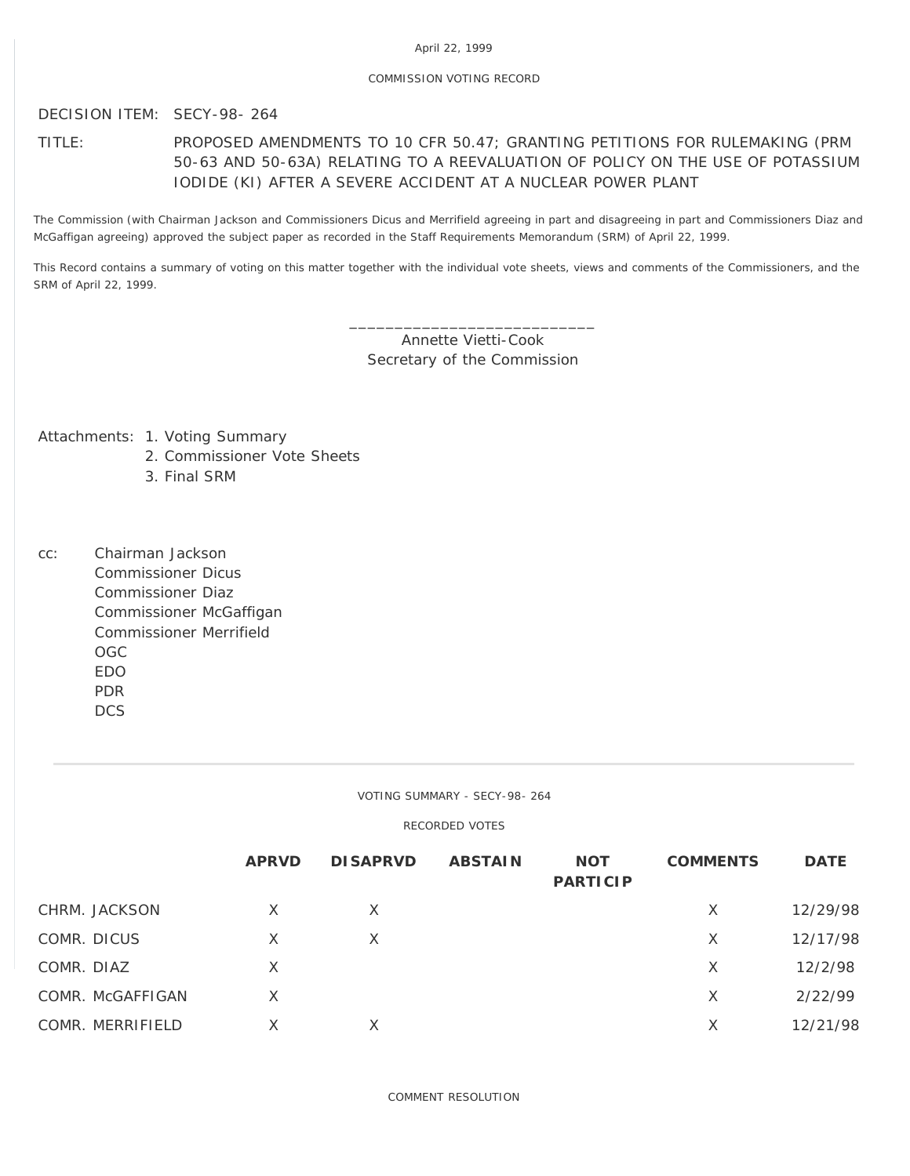# April 22, 1999

## COMMISSION VOTING RECORD

DECISION ITEM: SECY-98- 264

# TITLE: PROPOSED AMENDMENTS TO 10 CFR 50.47; GRANTING PETITIONS FOR RULEMAKING (PRM 50-63 AND 50-63A) RELATING TO A REEVALUATION OF POLICY ON THE USE OF POTASSIUM IODIDE (KI) AFTER A SEVERE ACCIDENT AT A NUCLEAR POWER PLANT

The Commission (with Chairman Jackson and Commissioners Dicus and Merrifield agreeing in part and disagreeing in part and Commissioners Diaz and McGaffigan agreeing) approved the subject paper as recorded in the Staff Requirements Memorandum (SRM) of April 22, 1999.

This Record contains a summary of voting on this matter together with the individual vote sheets, views and comments of the Commissioners, and the SRM of April 22, 1999.

> \_\_\_\_\_\_\_\_\_\_\_\_\_\_\_\_\_\_\_\_\_\_\_\_\_\_\_ Annette Vietti-Cook Secretary of the Commission

Attachments: 1. Voting Summary

- 2. Commissioner Vote Sheets
- 3. Final SRM
- cc: Chairman Jackson Commissioner Dicus Commissioner Diaz Commissioner McGaffigan Commissioner Merrifield OGC EDO PDR **DCS**

VOTING SUMMARY - SECY-98- 264

RECORDED VOTES

|                  | <b>APRVD</b> | <b>DISAPRVD</b> | <b>ABSTAIN</b> | <b>NOT</b><br><b>PARTICIP</b> | <b>COMMENTS</b> | <b>DATE</b> |
|------------------|--------------|-----------------|----------------|-------------------------------|-----------------|-------------|
| CHRM. JACKSON    | X            | X               |                |                               | X               | 12/29/98    |
| COMR. DICUS      | Χ            | X               |                |                               | X               | 12/17/98    |
| COMR. DIAZ       | X            |                 |                |                               | X               | 12/2/98     |
| COMR. McGAFFIGAN | Χ            |                 |                |                               | X               | 2/22/99     |
| COMR. MERRIFIELD | Χ            | X               |                |                               | X               | 12/21/98    |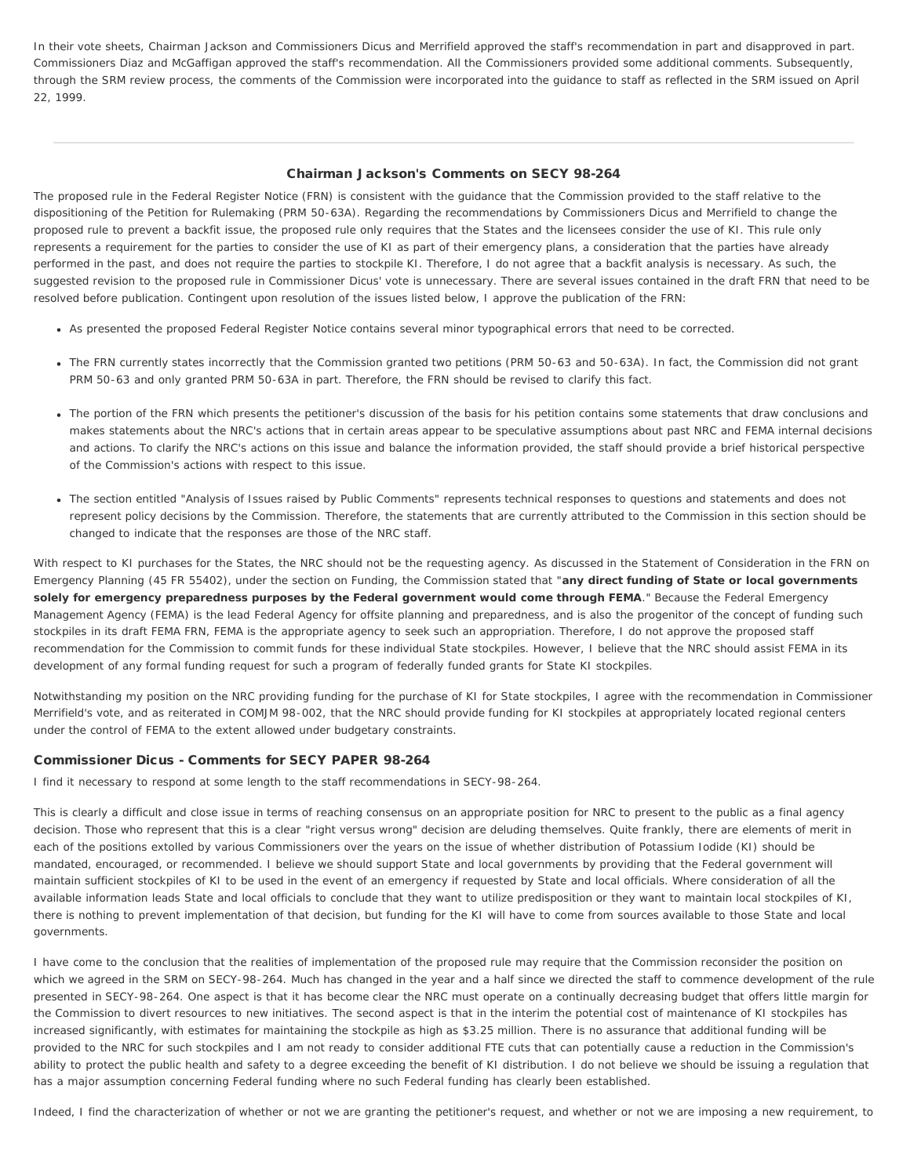In their vote sheets, Chairman Jackson and Commissioners Dicus and Merrifield approved the staff's recommendation in part and disapproved in part. Commissioners Diaz and McGaffigan approved the staff's recommendation. All the Commissioners provided some additional comments. Subsequently, through the SRM review process, the comments of the Commission were incorporated into the guidance to staff as reflected in the SRM issued on April 22, 1999.

## Chairman Jackson's Comments on SECY 98-264

The proposed rule in the Federal Register Notice (FRN) is consistent with the guidance that the Commission provided to the staff relative to the dispositioning of the Petition for Rulemaking (PRM 50-63A). Regarding the recommendations by Commissioners Dicus and Merrifield to change the proposed rule to prevent a backfit issue, the proposed rule only requires that the States and the licensees consider the use of KI. This rule only represents a requirement for the parties to consider the use of KI as part of their emergency plans, a consideration that the parties have already performed in the past, and does not require the parties to stockpile KI. Therefore, I do not agree that a backfit analysis is necessary. As such, the suggested revision to the proposed rule in Commissioner Dicus' vote is unnecessary. There are several issues contained in the draft FRN that need to be resolved before publication. Contingent upon resolution of the issues listed below, I approve the publication of the FRN:

- As presented the proposed Federal Register Notice contains several minor typographical errors that need to be corrected.
- The FRN currently states incorrectly that the Commission granted two petitions (PRM 50-63 and 50-63A). In fact, the Commission did not grant PRM 50-63 and only granted PRM 50-63A in part. Therefore, the FRN should be revised to clarify this fact.
- The portion of the FRN which presents the petitioner's discussion of the basis for his petition contains some statements that draw conclusions and makes statements about the NRC's actions that in certain areas appear to be speculative assumptions about past NRC and FEMA internal decisions and actions. To clarify the NRC's actions on this issue and balance the information provided, the staff should provide a brief historical perspective of the Commission's actions with respect to this issue.
- The section entitled "Analysis of Issues raised by Public Comments" represents technical responses to questions and statements and does not represent policy decisions by the Commission. Therefore, the statements that are currently attributed to the Commission in this section should be changed to indicate that the responses are those of the NRC staff.

With respect to KI purchases for the States, the NRC should not be the requesting agency. As discussed in the Statement of Consideration in the FRN on Emergency Planning (45 FR 55402), under the section on Funding, the Commission stated that "**any direct funding of State or local governments solely for emergency preparedness purposes by the Federal government would come through FEMA**." Because the Federal Emergency Management Agency (FEMA) is the lead Federal Agency for offsite planning and preparedness, and is also the progenitor of the concept of funding such stockpiles in its draft FEMA FRN, FEMA is the appropriate agency to seek such an appropriation. Therefore, I do not approve the proposed staff recommendation for the Commission to commit funds for these individual State stockpiles. However, I believe that the NRC should assist FEMA in its development of any formal funding request for such a program of federally funded grants for State KI stockpiles.

Notwithstanding my position on the NRC providing funding for the purchase of KI for State stockpiles, I agree with the recommendation in Commissioner Merrifield's vote, and as reiterated in COMJM 98-002, that the NRC should provide funding for KI stockpiles at appropriately located regional centers under the control of FEMA to the extent allowed under budgetary constraints.

## Commissioner Dicus - Comments for SECY PAPER 98-264

I find it necessary to respond at some length to the staff recommendations in SECY-98-264.

This is clearly a difficult and close issue in terms of reaching consensus on an appropriate position for NRC to present to the public as a final agency decision. Those who represent that this is a clear "right versus wrong" decision are deluding themselves. Quite frankly, there are elements of merit in each of the positions extolled by various Commissioners over the years on the issue of whether distribution of Potassium Iodide (KI) should be mandated, encouraged, or recommended. I believe we should support State and local governments by providing that the Federal government will maintain sufficient stockpiles of KI to be used in the event of an emergency if requested by State and local officials. Where consideration of all the available information leads State and local officials to conclude that they want to utilize predisposition or they want to maintain local stockpiles of KI, there is nothing to prevent implementation of that decision, but funding for the KI will have to come from sources available to those State and local governments.

I have come to the conclusion that the realities of implementation of the proposed rule may require that the Commission reconsider the position on which we agreed in the SRM on SECY-98-264. Much has changed in the year and a half since we directed the staff to commence development of the rule presented in SECY-98-264. One aspect is that it has become clear the NRC must operate on a continually decreasing budget that offers little margin for the Commission to divert resources to new initiatives. The second aspect is that in the interim the potential cost of maintenance of KI stockpiles has increased significantly, with estimates for maintaining the stockpile as high as \$3.25 million. There is no assurance that additional funding will be provided to the NRC for such stockpiles and I am not ready to consider additional FTE cuts that can potentially cause a reduction in the Commission's ability to protect the public health and safety to a degree exceeding the benefit of KI distribution. I do not believe we should be issuing a regulation that has a major assumption concerning Federal funding where no such Federal funding has clearly been established.

Indeed, I find the characterization of whether or not we are granting the petitioner's request, and whether or not we are imposing a new requirement, to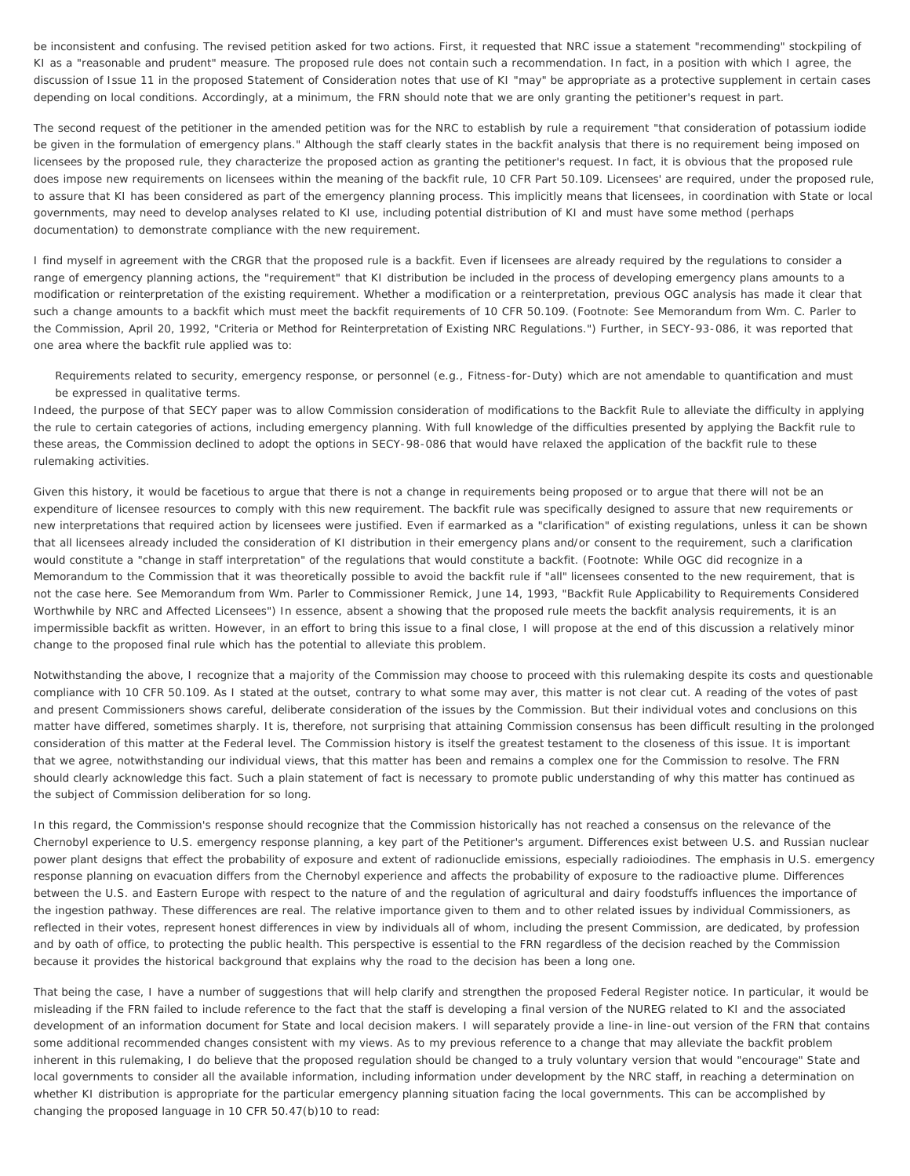be inconsistent and confusing. The revised petition asked for two actions. First, it requested that NRC issue a statement "recommending" stockpiling of KI as a "reasonable and prudent" measure. The proposed rule does not contain such a recommendation. In fact, in a position with which I agree, the discussion of Issue 11 in the proposed Statement of Consideration notes that use of KI "may" be appropriate as a protective supplement in certain cases depending on local conditions. Accordingly, at a minimum, the FRN should note that we are only granting the petitioner's request in part.

The second request of the petitioner in the amended petition was for the NRC to establish by rule a requirement "that consideration of potassium iodide be given in the formulation of emergency plans." Although the staff clearly states in the backfit analysis that there is no requirement being imposed on licensees by the proposed rule, they characterize the proposed action as granting the petitioner's request. In fact, it is obvious that the proposed rule does impose new requirements on licensees within the meaning of the backfit rule, 10 CFR Part 50.109. Licensees' are required, under the proposed rule, to assure that KI has been considered as part of the emergency planning process. This implicitly means that licensees, in coordination with State or local governments, may need to develop analyses related to KI use, including potential distribution of KI and must have some method (perhaps documentation) to demonstrate compliance with the new requirement.

I find myself in agreement with the CRGR that the proposed rule is a backfit. Even if licensees are already required by the regulations to consider a range of emergency planning actions, the "requirement" that KI distribution be included in the process of developing emergency plans amounts to a modification or reinterpretation of the existing requirement. Whether a modification or a reinterpretation, previous OGC analysis has made it clear that such a change amounts to a backfit which must meet the backfit requirements of 10 CFR 50.109. (Footnote: See Memorandum from Wm. C. Parler to the Commission, April 20, 1992, "Criteria or Method for Reinterpretation of Existing NRC Regulations.") Further, in SECY-93-086, it was reported that one area where the backfit rule applied was to:

Requirements related to security, emergency response, or personnel (e.g., Fitness-for-Duty) which are not amendable to quantification and must be expressed in qualitative terms.

Indeed, the purpose of that SECY paper was to allow Commission consideration of modifications to the Backfit Rule to alleviate the difficulty in applying the rule to certain categories of actions, including emergency planning. With full knowledge of the difficulties presented by applying the Backfit rule to these areas, the Commission declined to adopt the options in SECY-98-086 that would have relaxed the application of the backfit rule to these rulemaking activities.

Given this history, it would be facetious to argue that there is not a change in requirements being proposed or to argue that there will not be an expenditure of licensee resources to comply with this new requirement. The backfit rule was specifically designed to assure that new requirements or new interpretations that required action by licensees were justified. Even if earmarked as a "clarification" of existing regulations, unless it can be shown that all licensees already included the consideration of KI distribution in their emergency plans and/or consent to the requirement, such a clarification would constitute a "change in staff interpretation" of the regulations that would constitute a backfit. (Footnote: While OGC did recognize in a Memorandum to the Commission that it was theoretically possible to avoid the backfit rule if "all" licensees consented to the new requirement, that is not the case here. See Memorandum from Wm. Parler to Commissioner Remick, June 14, 1993, "Backfit Rule Applicability to Requirements Considered Worthwhile by NRC and Affected Licensees") In essence, absent a showing that the proposed rule meets the backfit analysis requirements, it is an impermissible backfit as written. However, in an effort to bring this issue to a final close, I will propose at the end of this discussion a relatively minor change to the proposed final rule which has the potential to alleviate this problem.

Notwithstanding the above, I recognize that a majority of the Commission may choose to proceed with this rulemaking despite its costs and questionable compliance with 10 CFR 50.109. As I stated at the outset, contrary to what some may aver, this matter is not clear cut. A reading of the votes of past and present Commissioners shows careful, deliberate consideration of the issues by the Commission. But their individual votes and conclusions on this matter have differed, sometimes sharply. It is, therefore, not surprising that attaining Commission consensus has been difficult resulting in the prolonged consideration of this matter at the Federal level. The Commission history is itself the greatest testament to the closeness of this issue. It is important that we agree, notwithstanding our individual views, that this matter has been and remains a complex one for the Commission to resolve. The FRN should clearly acknowledge this fact. Such a plain statement of fact is necessary to promote public understanding of why this matter has continued as the subject of Commission deliberation for so long.

In this regard, the Commission's response should recognize that the Commission historically has not reached a consensus on the relevance of the Chernobyl experience to U.S. emergency response planning, a key part of the Petitioner's argument. Differences exist between U.S. and Russian nuclear power plant designs that effect the probability of exposure and extent of radionuclide emissions, especially radioiodines. The emphasis in U.S. emergency response planning on evacuation differs from the Chernobyl experience and affects the probability of exposure to the radioactive plume. Differences between the U.S. and Eastern Europe with respect to the nature of and the regulation of agricultural and dairy foodstuffs influences the importance of the ingestion pathway. These differences are real. The relative importance given to them and to other related issues by individual Commissioners, as reflected in their votes, represent honest differences in view by individuals all of whom, including the present Commission, are dedicated, by profession and by oath of office, to protecting the public health. This perspective is essential to the FRN regardless of the decision reached by the Commission because it provides the historical background that explains why the road to the decision has been a long one.

That being the case, I have a number of suggestions that will help clarify and strengthen the proposed Federal Register notice. In particular, it would be misleading if the FRN failed to include reference to the fact that the staff is developing a final version of the NUREG related to KI and the associated development of an information document for State and local decision makers. I will separately provide a line-in line-out version of the FRN that contains some additional recommended changes consistent with my views. As to my previous reference to a change that may alleviate the backfit problem inherent in this rulemaking, I do believe that the proposed regulation should be changed to a truly voluntary version that would "encourage" State and local governments to consider all the available information, including information under development by the NRC staff, in reaching a determination on whether KI distribution is appropriate for the particular emergency planning situation facing the local governments. This can be accomplished by changing the proposed language in 10 CFR 50.47(b)10 to read: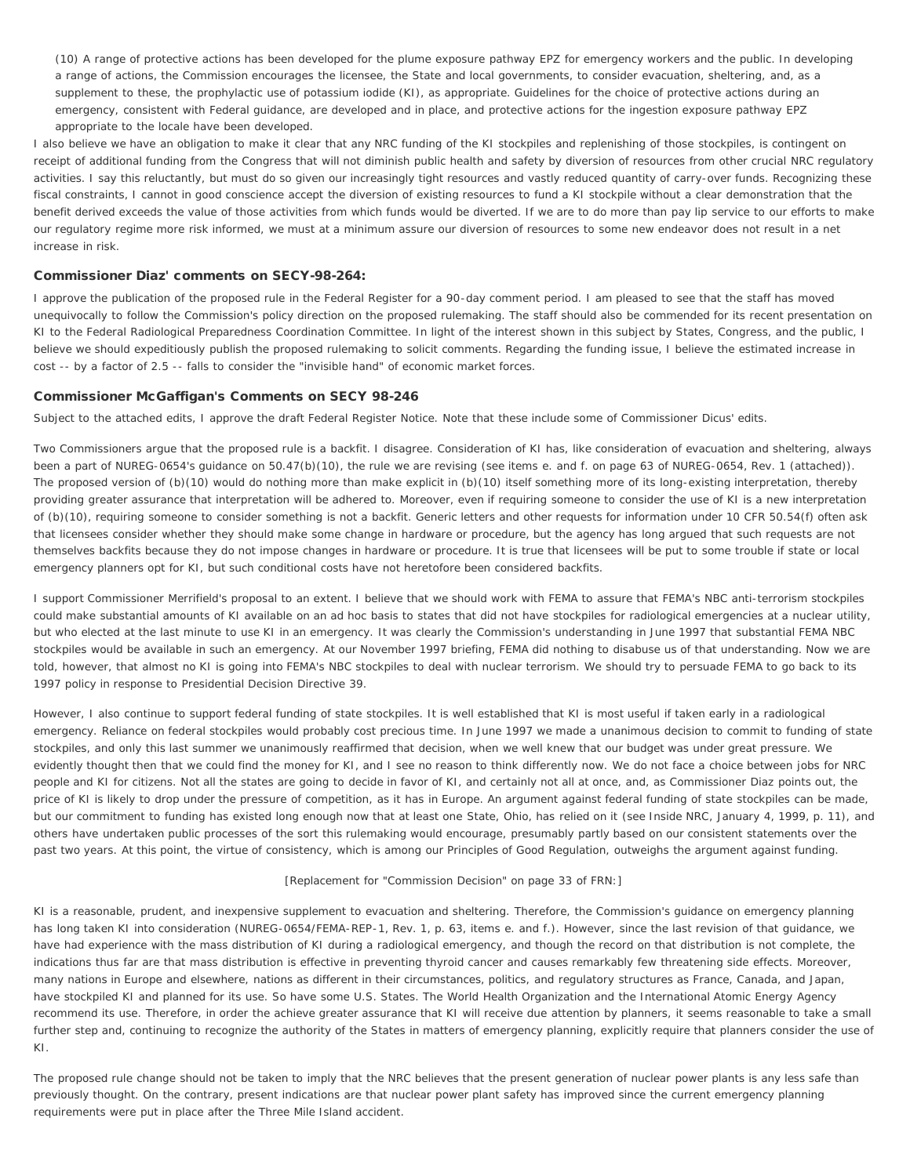(10) A range of protective actions has been developed for the plume exposure pathway EPZ for emergency workers and the public. In developing a range of actions, the Commission encourages the licensee, the State and local governments, to consider evacuation, sheltering, and, as a supplement to these, the prophylactic use of potassium iodide (KI), as appropriate. Guidelines for the choice of protective actions during an emergency, consistent with Federal guidance, are developed and in place, and protective actions for the ingestion exposure pathway EPZ appropriate to the locale have been developed.

I also believe we have an obligation to make it clear that any NRC funding of the KI stockpiles and replenishing of those stockpiles, is contingent on receipt of additional funding from the Congress that will not diminish public health and safety by diversion of resources from other crucial NRC regulatory activities. I say this reluctantly, but must do so given our increasingly tight resources and vastly reduced quantity of carry-over funds. Recognizing these fiscal constraints, I cannot in good conscience accept the diversion of existing resources to fund a KI stockpile without a clear demonstration that the benefit derived exceeds the value of those activities from which funds would be diverted. If we are to do more than pay lip service to our efforts to make our regulatory regime more risk informed, we must at a minimum assure our diversion of resources to some new endeavor does not result in a net increase in risk.

# Commissioner Diaz' comments on SECY-98-264:

I approve the publication of the proposed rule in the Federal Register for a 90-day comment period. I am pleased to see that the staff has moved unequivocally to follow the Commission's policy direction on the proposed rulemaking. The staff should also be commended for its recent presentation on KI to the Federal Radiological Preparedness Coordination Committee. In light of the interest shown in this subject by States, Congress, and the public, I believe we should expeditiously publish the proposed rulemaking to solicit comments. Regarding the funding issue, I believe the estimated increase in cost -- by a factor of 2.5 -- falls to consider the "invisible hand" of economic market forces.

## Commissioner McGaffigan's Comments on SECY 98-246

Subject to the attached edits, I approve the draft Federal Register Notice. Note that these include some of Commissioner Dicus' edits.

Two Commissioners argue that the proposed rule is a backfit. I disagree. Consideration of KI has, like consideration of evacuation and sheltering, always been a part of NUREG-0654's guidance on 50.47(b)(10), the rule we are revising (see items e. and f. on page 63 of NUREG-0654, Rev. 1 (attached)). The proposed version of (b)(10) would do nothing more than make explicit in (b)(10) itself something more of its long-existing interpretation, thereby providing greater assurance that interpretation will be adhered to. Moreover, even if requiring someone to consider the use of KI is a new interpretation of (b)(10), requiring someone to *consider* something is not a backfit. Generic letters and other requests for information under 10 CFR 50.54(f) often ask that licensees consider whether they should make some change in hardware or procedure, but the agency has long argued that such requests are not themselves backfits because they do not impose changes in hardware or procedure. It is true that licensees will be put to some trouble if state or local emergency planners opt for KI, but such conditional costs have not heretofore been considered backfits.

I support Commissioner Merrifield's proposal to an extent. I believe that we should work with FEMA to assure that FEMA's NBC anti-terrorism stockpiles could make substantial amounts of KI available on an *ad hoc* basis to states that did not have stockpiles for radiological emergencies at a nuclear utility, but who elected at the last minute to use KI in an emergency. It was clearly the Commission's understanding in June 1997 that substantial FEMA NBC stockpiles would be available in such an emergency. At our November 1997 briefing, FEMA did nothing to disabuse us of that understanding. Now we are told, however, that almost no KI is going into FEMA's NBC stockpiles to deal with nuclear terrorism. We should try to persuade FEMA to go back to its 1997 policy in response to Presidential Decision Directive 39.

However, I also continue to support federal funding of state stockpiles. It is well established that KI is most useful if taken early in a radiological emergency. Reliance on federal stockpiles would probably cost precious time. In June 1997 we made a unanimous decision to commit to funding of state stockpiles, and only this last summer we unanimously reaffirmed that decision, when we well knew that our budget was under great pressure. We evidently thought then that we could find the money for KI, and I see no reason to think differently now. We do not face a choice between jobs for NRC people and KI for citizens. Not all the states are going to decide in favor of KI, and certainly not all at once, and, as Commissioner Diaz points out, the price of KI is likely to drop under the pressure of competition, as it has in Europe. An argument against federal funding of state stockpiles can be made, but our commitment to funding has existed long enough now that at least one State, Ohio, has relied on it (see *Inside NRC*, January 4, 1999, p. 11), and others have undertaken public processes of the sort this rulemaking would encourage, presumably partly based on our consistent statements over the past two years. At this point, the virtue of consistency, which is among our Principles of Good Regulation, outweighs the argument against funding.

## *[Replacement for "Commission Decision" on page 33 of FRN:]*

KI is a reasonable, prudent, and inexpensive supplement to evacuation and sheltering. Therefore, the Commission's guidance on emergency planning has long taken KI into consideration (NUREG-0654/FEMA-REP-1, Rev. 1, p. 63, items e. and f.). However, since the last revision of that guidance, we have had experience with the mass distribution of KI during a radiological emergency, and though the record on that distribution is not complete, the indications thus far are that mass distribution is effective in preventing thyroid cancer and causes remarkably few threatening side effects. Moreover, many nations in Europe and elsewhere, nations as different in their circumstances, politics, and regulatory structures as France, Canada, and Japan, have stockpiled KI and planned for its use. So have some U.S. States. The World Health Organization and the International Atomic Energy Agency recommend its use. Therefore, in order the achieve greater assurance that KI will receive due attention by planners, it seems reasonable to take a small further step and, continuing to recognize the authority of the States in matters of emergency planning, explicitly require that planners consider the use of KI.

The proposed rule change should not be taken to imply that the NRC believes that the present generation of nuclear power plants is any less safe than previously thought. On the contrary, present indications are that nuclear power plant safety has improved since the current emergency planning requirements were put in place after the Three Mile Island accident.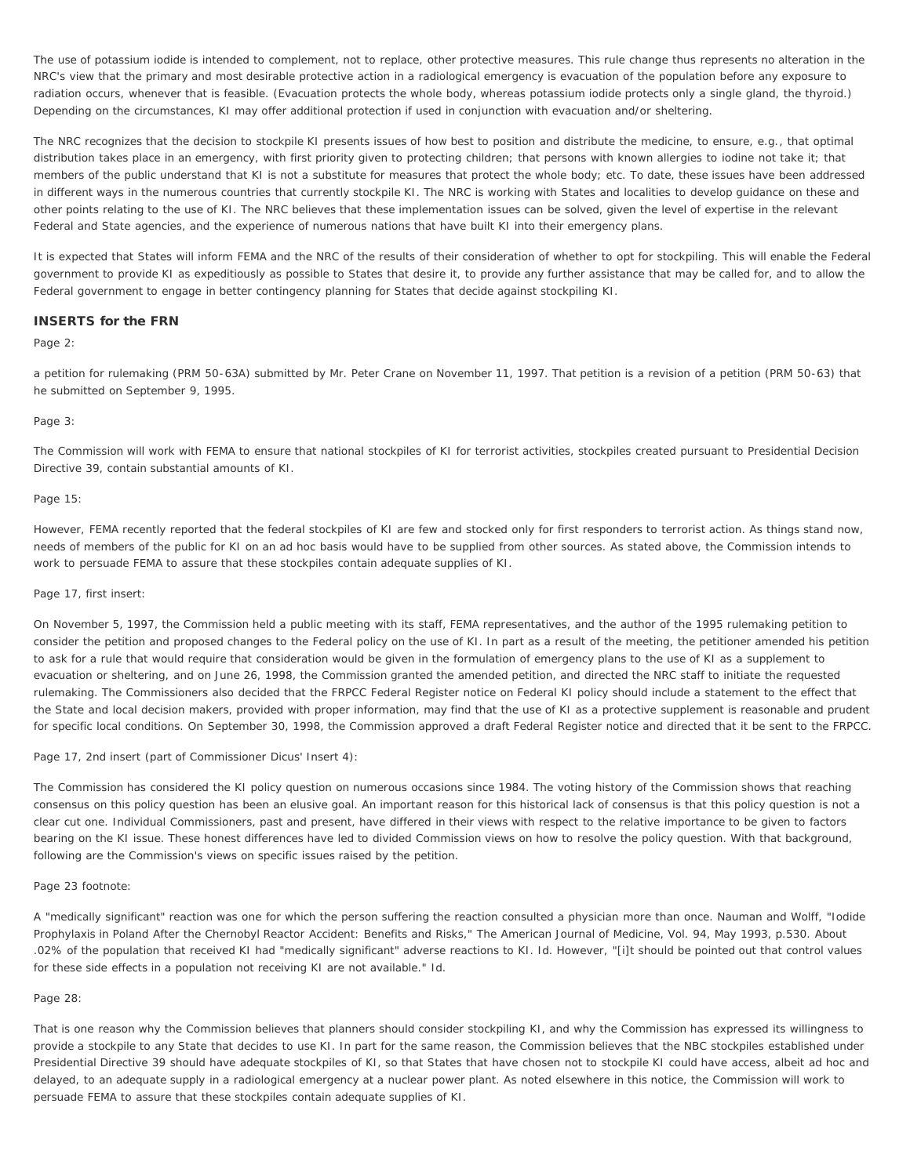The use of potassium iodide is intended to complement, not to replace, other protective measures. This rule change thus represents no alteration in the NRC's view that the primary and most desirable protective action in a radiological emergency is evacuation of the population before any exposure to radiation occurs, whenever that is feasible. (Evacuation protects the whole body, whereas potassium iodide protects only a single gland, the thyroid.) Depending on the circumstances, KI may offer additional protection if used in conjunction with evacuation and/or sheltering.

The NRC recognizes that the decision to stockpile KI presents issues of how best to position and distribute the medicine, to ensure, *e.g.*, that optimal distribution takes place in an emergency, with first priority given to protecting children; that persons with known allergies to iodine not take it; that members of the public understand that KI is not a substitute for measures that protect the whole body; etc. To date, these issues have been addressed in different ways in the numerous countries that currently stockpile KI. The NRC is working with States and localities to develop guidance on these and other points relating to the use of KI. The NRC believes that these implementation issues can be solved, given the level of expertise in the relevant Federal and State agencies, and the experience of numerous nations that have built KI into their emergency plans.

It is expected that States will inform FEMA and the NRC of the results of their consideration of whether to opt for stockpiling. This will enable the Federal government to provide KI as expeditiously as possible to States that desire it, to provide any further assistance that may be called for, and to allow the Federal government to engage in better contingency planning for States that decide against stockpiling KI.

## INSERTS for the FRN

## Page 2:

a petition for rulemaking (PRM 50-63A) submitted by Mr. Peter Crane on November 11, 1997. That petition is a revision of a petition (PRM 50-63) that he submitted on September 9, 1995.

#### Page 3:

The Commission will work with FEMA to ensure that national stockpiles of KI for terrorist activities, stockpiles created pursuant to Presidential Decision Directive 39, contain substantial amounts of KI.

#### Page 15:

However, FEMA recently reported that the federal stockpiles of KI are few and stocked only for first responders to terrorist action. As things stand now, needs of members of the public for KI on an *ad hoc* basis would have to be supplied from other sources. As stated above, the Commission intends to work to persuade FEMA to assure that these stockpiles contain adequate supplies of KI.

#### Page 17, first insert:

On November 5, 1997, the Commission held a public meeting with its staff, FEMA representatives, and the author of the 1995 rulemaking petition to consider the petition and proposed changes to the Federal policy on the use of KI. In part as a result of the meeting, the petitioner amended his petition to ask for a rule that would require that consideration would be given in the formulation of emergency plans to the use of KI as a supplement to evacuation or sheltering, and on June 26, 1998, the Commission granted the amended petition, and directed the NRC staff to initiate the requested rulemaking. The Commissioners also decided that the FRPCC Federal Register notice on Federal KI policy should include a statement to the effect that the State and local decision makers, provided with proper information, may find that the use of KI as a protective supplement is reasonable and prudent for specific local conditions. On September 30, 1998, the Commission approved a draft Federal Register notice and directed that it be sent to the FRPCC.

Page 17, 2nd insert (part of Commissioner Dicus' Insert 4):

The Commission has considered the KI policy question on numerous occasions since 1984. The voting history of the Commission shows that reaching consensus on this policy question has been an elusive goal. An important reason for this historical lack of consensus is that this policy question is not a clear cut one. Individual Commissioners, past and present, have differed in their views with respect to the relative importance to be given to factors bearing on the KI issue. These honest differences have led to divided Commission views on how to resolve the policy question. With that background, following are the Commission's views on specific issues raised by the petition.

#### Page 23 footnote:

A "medically significant" reaction was one for which the person suffering the reaction consulted a physician more than once. Nauman and Wolff, "Iodide Prophylaxis in Poland After the Chernobyl Reactor Accident: Benefits and Risks," The American Journal of Medicine, Vol. 94, May 1993, p.530. About .02% of the population that received KI had "medically significant" adverse reactions to KI. Id. However, "[i]t should be pointed out that control values for these side effects in a population not receiving KI are not available." Id.

#### Page 28:

That is one reason why the Commission believes that planners should consider stockpiling KI, and why the Commission has expressed its willingness to provide a stockpile to any State that decides to use KI. In part for the same reason, the Commission believes that the NBC stockpiles established under Presidential Directive 39 should have adequate stockpiles of KI, so that States that have chosen not to stockpile KI could have access, albeit *ad hoc* and delayed, to an adequate supply in a radiological emergency at a nuclear power plant. As noted elsewhere in this notice, the Commission will work to persuade FEMA to assure that these stockpiles contain adequate supplies of KI.